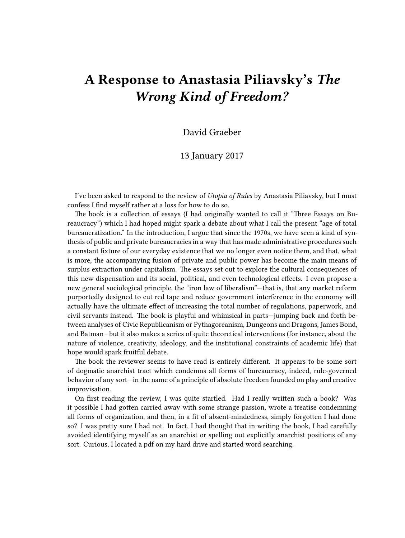## **A Response to Anastasia Piliavsky's** *The Wrong Kind of Freedom?*

David Graeber

## 13 January 2017

I've been asked to respond to the review of *Utopia of Rules* by Anastasia Piliavsky, but I must confess I find myself rather at a loss for how to do so.

The book is a collection of essays (I had originally wanted to call it "Three Essays on Bureaucracy") which I had hoped might spark a debate about what I call the present "age of total bureaucratization." In the introduction, I argue that since the 1970s, we have seen a kind of synthesis of public and private bureaucracies in a way that has made administrative procedures such a constant fixture of our everyday existence that we no longer even notice them, and that, what is more, the accompanying fusion of private and public power has become the main means of surplus extraction under capitalism. The essays set out to explore the cultural consequences of this new dispensation and its social, political, and even technological effects. I even propose a new general sociological principle, the "iron law of liberalism"—that is, that any market reform purportedly designed to cut red tape and reduce government interference in the economy will actually have the ultimate effect of increasing the total number of regulations, paperwork, and civil servants instead. The book is playful and whimsical in parts—jumping back and forth between analyses of Civic Republicanism or Pythagoreanism, Dungeons and Dragons, James Bond, and Batman—but it also makes a series of quite theoretical interventions (for instance, about the nature of violence, creativity, ideology, and the institutional constraints of academic life) that hope would spark fruitful debate.

The book the reviewer seems to have read is entirely different. It appears to be some sort of dogmatic anarchist tract which condemns all forms of bureaucracy, indeed, rule-governed behavior of any sort—in the name of a principle of absolute freedom founded on play and creative improvisation.

On first reading the review, I was quite startled. Had I really written such a book? Was it possible I had gotten carried away with some strange passion, wrote a treatise condemning all forms of organization, and then, in a fit of absent-mindedness, simply forgotten I had done so? I was pretty sure I had not. In fact, I had thought that in writing the book, I had carefully avoided identifying myself as an anarchist or spelling out explicitly anarchist positions of any sort. Curious, I located a pdf on my hard drive and started word searching.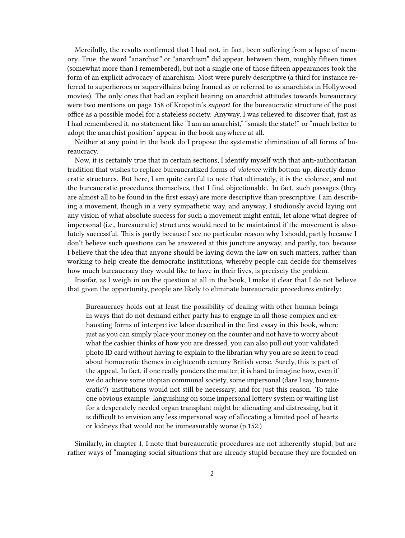Mercifully, the results confirmed that I had not, in fact, been suffering from a lapse of memory. True, the word "anarchist" or "anarchism" did appear, between them, roughly fifteen times (somewhat more than I remembered), but not a single one of those fifteen appearances took the form of an explicit advocacy of anarchism. Most were purely descriptive (a third for instance referred to superheroes or supervillains being framed as or referred to as anarchists in Hollywood movies). The only ones that had an explicit bearing on anarchist attitudes towards bureaucracy were two mentions on page 158 of Kropotin's *support* for the bureaucratic structure of the post office as a possible model for a stateless society. Anyway, I was relieved to discover that, just as I had remembered it, no statement like "I am an anarchist," "smash the state!" or "much better to adopt the anarchist position" appear in the book anywhere at all.

Neither at any point in the book do I propose the systematic elimination of all forms of bureaucracy.

Now, it is certainly true that in certain sections, I identify myself with that anti-authoritarian tradition that wishes to replace bureaucratized forms of *violence* with bottom-up, directly democratic structures. But here, I am quite careful to note that ultimately, it is the violence, and not the bureaucratic procedures themselves, that I find objectionable. In fact, such passages (they are almost all to be found in the first essay) are more descriptive than prescriptive; I am describing a movement, though in a very sympathetic way, and anyway, I studiously avoid laying out any vision of what absolute success for such a movement might entail, let alone what degree of impersonal (i.e., bureaucratic) structures would need to be maintained if the movement is absolutely successful. This is partly because I see no particular reason why I should, partly because I don't believe such questions can be answered at this juncture anyway, and partly, too, because I believe that the idea that anyone should be laying down the law on such matters, rather than working to help create the democratic institutions, whereby people can decide for themselves how much bureaucracy they would like to have in their lives, is precisely the problem.

Insofar, as I weigh in on the question at all in the book, I make it clear that I do not believe that given the opportunity, people are likely to eliminate bureaucratic procedures entirely:

Bureaucracy holds out at least the possibility of dealing with other human beings in ways that do not demand either party has to engage in all those complex and exhausting forms of interpretive labor described in the first essay in this book, where just as you can simply place your money on the counter and not have to worry about what the cashier thinks of how you are dressed, you can also pull out your validated photo ID card without having to explain to the librarian why you are so keen to read about homoerotic themes in eighteenth century British verse. Surely, this is part of the appeal. In fact, if one really ponders the matter, it is hard to imagine how, even if we do achieve some utopian communal society, some impersonal (dare I say, bureaucratic?) institutions would not still be necessary, and for just this reason. To take one obvious example: languishing on some impersonal lottery system or waiting list for a desperately needed organ transplant might be alienating and distressing, but it is difficult to envision any less impersonal way of allocating a limited pool of hearts or kidneys that would not be immeasurably worse (p.152.)

Similarly, in chapter 1, I note that bureaucratic procedures are not inherently stupid, but are rather ways of "managing social situations that are already stupid because they are founded on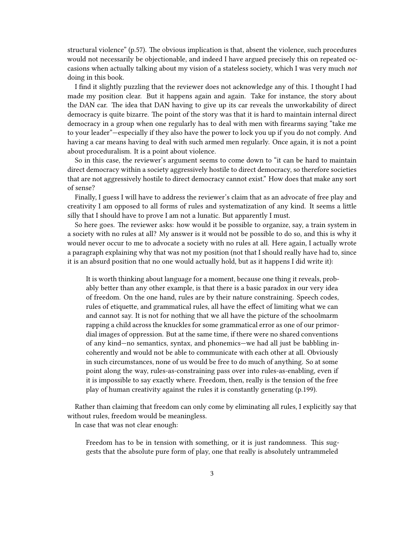structural violence" (p.57). The obvious implication is that, absent the violence, such procedures would not necessarily be objectionable, and indeed I have argued precisely this on repeated occasions when actually talking about my vision of a stateless society, which I was very much *not* doing in this book.

I find it slightly puzzling that the reviewer does not acknowledge any of this. I thought I had made my position clear. But it happens again and again. Take for instance, the story about the DAN car. The idea that DAN having to give up its car reveals the unworkability of direct democracy is quite bizarre. The point of the story was that it is hard to maintain internal direct democracy in a group when one regularly has to deal with men with firearms saying "take me to your leader"—especially if they also have the power to lock you up if you do not comply. And having a car means having to deal with such armed men regularly. Once again, it is not a point about proceduralism. It is a point about violence.

So in this case, the reviewer's argument seems to come down to "it can be hard to maintain direct democracy within a society aggressively hostile to direct democracy, so therefore societies that are not aggressively hostile to direct democracy cannot exist." How does that make any sort of sense?

Finally, I guess I will have to address the reviewer's claim that as an advocate of free play and creativity I am opposed to all forms of rules and systematization of any kind. It seems a little silly that I should have to prove I am not a lunatic. But apparently I must.

So here goes. The reviewer asks: how would it be possible to organize, say, a train system in a society with no rules at all? My answer is it would not be possible to do so, and this is why it would never occur to me to advocate a society with no rules at all. Here again, I actually wrote a paragraph explaining why that was not my position (not that I should really have had to, since it is an absurd position that no one would actually hold, but as it happens I did write it):

It is worth thinking about language for a moment, because one thing it reveals, probably better than any other example, is that there is a basic paradox in our very idea of freedom. On the one hand, rules are by their nature constraining. Speech codes, rules of etiquette, and grammatical rules, all have the effect of limiting what we can and cannot say. It is not for nothing that we all have the picture of the schoolmarm rapping a child across the knuckles for some grammatical error as one of our primordial images of oppression. But at the same time, if there were no shared conventions of any kind—no semantics, syntax, and phonemics—we had all just be babbling incoherently and would not be able to communicate with each other at all. Obviously in such circumstances, none of us would be free to do much of anything. So at some point along the way, rules-as-constraining pass over into rules-as-enabling, even if it is impossible to say exactly where. Freedom, then, really is the tension of the free play of human creativity against the rules it is constantly generating (p.199).

Rather than claiming that freedom can only come by eliminating all rules, I explicitly say that without rules, freedom would be meaningless. In case that was not clear enough:

Freedom has to be in tension with something, or it is just randomness. This sug-

gests that the absolute pure form of play, one that really is absolutely untrammeled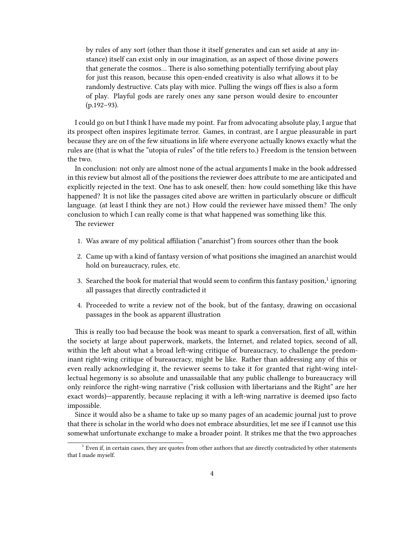by rules of any sort (other than those it itself generates and can set aside at any instance) itself can exist only in our imagination, as an aspect of those divine powers that generate the cosmos… There is also something potentially terrifying about play for just this reason, because this open-ended creativity is also what allows it to be randomly destructive. Cats play with mice. Pulling the wings off flies is also a form of play. Playful gods are rarely ones any sane person would desire to encounter (p.192–93).

I could go on but I think I have made my point. Far from advocating absolute play, I argue that its prospect often inspires legitimate terror. Games, in contrast, are I argue pleasurable in part because they are on of the few situations in life where everyone actually knows exactly what the rules are (that is what the "utopia of rules" of the title refers to.) Freedom is the tension between the two.

In conclusion: not only are almost none of the actual arguments I make in the book addressed in this review but almost all of the positions the reviewer does attribute to me are anticipated and explicitly rejected in the text. One has to ask oneself, then: how could something like this have happened? It is not like the passages cited above are written in particularly obscure or difficult language. (at least I think they are not.) How could the reviewer have missed them? The only conclusion to which I can really come is that what happened was something like this.

The reviewer

- 1. Was aware of my political affiliation ("anarchist") from sources other than the book
- 2. Came up with a kind of fantasy version of what positions she imagined an anarchist would hold on bureaucracy, rules, etc.
- 3. Searched the book for material that would seem to confirm this fantasy position, $1$  ignoring all passages that directly contradicted it
- 4. Proceeded to write a review not of the book, but of the fantasy, drawing on occasional passages in the book as apparent illustration

This is really too bad because the book was meant to spark a conversation, first of all, within the society at large about paperwork, markets, the Internet, and related topics, second of all, within the left about what a broad left-wing critique of bureaucracy, to challenge the predominant right-wing critique of bureaucracy, might be like. Rather than addressing any of this or even really acknowledging it, the reviewer seems to take it for granted that right-wing intellectual hegemony is so absolute and unassailable that any public challenge to bureaucracy will only reinforce the right-wing narrative ("risk collusion with libertarians and the Right" are her exact words)—apparently, because replacing it with a left-wing narrative is deemed ipso facto impossible.

Since it would also be a shame to take up so many pages of an academic journal just to prove that there is scholar in the world who does not embrace absurdities, let me see if I cannot use this somewhat unfortunate exchange to make a broader point. It strikes me that the two approaches

 $<sup>1</sup>$  Even if, in certain cases, they are quotes from other authors that are directly contradicted by other statements</sup> that I made myself.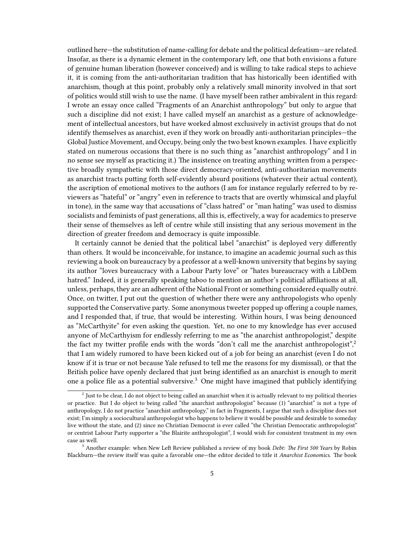outlined here—the substitution of name-calling for debate and the political defeatism—are related. Insofar, as there is a dynamic element in the contemporary left, one that both envisions a future of genuine human liberation (however conceived) and is willing to take radical steps to achieve it, it is coming from the anti-authoritarian tradition that has historically been identified with anarchism, though at this point, probably only a relatively small minority involved in that sort of politics would still wish to use the name. (I have myself been rather ambivalent in this regard: I wrote an essay once called "Fragments of an Anarchist anthropology" but only to argue that such a discipline did not exist; I have called myself an anarchist as a gesture of acknowledgement of intellectual ancestors, but have worked almost exclusively in activist groups that do not identify themselves as anarchist, even if they work on broadly anti-authoritarian principles—the Global Justice Movement, and Occupy, being only the two best known examples. I have explicitly stated on numerous occasions that there is no such thing as "anarchist anthropology" and I in no sense see myself as practicing it.) The insistence on treating anything written from a perspective broadly sympathetic with those direct democracy-oriented, anti-authoritarian movements as anarchist tracts putting forth self-evidently absurd positions (whatever their actual content), the ascription of emotional motives to the authors (I am for instance regularly referred to by reviewers as "hateful" or "angry" even in reference to tracts that are overtly whimsical and playful in tone), in the same way that accusations of "class hatred" or "man hating" was used to dismiss socialists and feminists of past generations, all this is, effectively, a way for academics to preserve their sense of themselves as left of centre while still insisting that any serious movement in the direction of greater freedom and democracy is quite impossible.

It certainly cannot be denied that the political label "anarchist" is deployed very differently than others. It would be inconceivable, for instance, to imagine an academic journal such as this reviewing a book on bureaucracy by a professor at a well-known university that begins by saying its author "loves bureaucracy with a Labour Party love" or "hates bureaucracy with a LibDem hatred." Indeed, it is generally speaking taboo to mention an author's political affiliations at all, unless, perhaps, they are an adherent of the National Front or something considered equally outré. Once, on twitter, I put out the question of whether there were any anthropologists who openly supported the Conservative party. Some anonymous tweeter popped up offering a couple names, and I responded that, if true, that would be interesting. Within hours, I was being denounced as "McCarthyite" for even asking the question. Yet, no one to my knowledge has ever accused anyone of McCarthyism for endlessly referring to me as "the anarchist anthropologist," despite the fact my twitter profile ends with the words "don't call me the anarchist anthropologist",<sup>2</sup> that I am widely rumored to have been kicked out of a job for being an anarchist (even I do not know if it is true or not because Yale refused to tell me the reasons for my dismissal), or that the British police have openly declared that just being identified as an anarchist is enough to merit one a police file as a potential subversive.<sup>3</sup> One might have imagined that publicly identifying

<sup>&</sup>lt;sup>2</sup> Just to be clear, I do not object to being called an anarchist when it is actually relevant to my political theories or practice. But I do object to being called "the anarchist anthropologist" because (1) "anarchist" is not a type of anthropology, I do not practice "anarchist anthropology," in fact in Fragments, I argue that such a discipline does not exist; I'm simply a sociocultural anthropologist who happens to believe it would be possible and desirable to someday live without the state, and (2) since no Christian Democrat is ever called "the Christian Democratic anthropologist" or centrist Labour Party supporter a "the Blairite anthropologist", I would wish for consistent treatment in my own case as well.

<sup>3</sup> Another example: when New Left Review published a review of my book *Debt: The First 500 Years* by Robin Blackburn—the review itself was quite a favorable one—the editor decided to title it *Anarchist Economics*. The book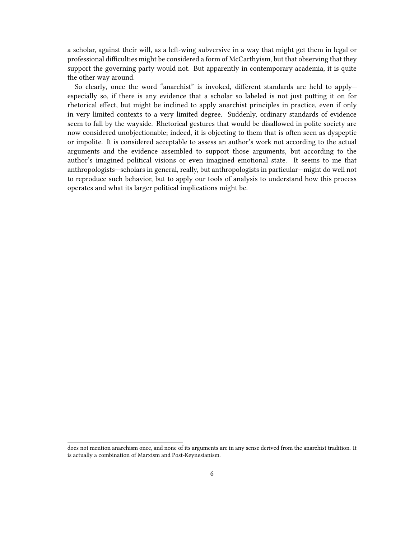a scholar, against their will, as a left-wing subversive in a way that might get them in legal or professional difficulties might be considered a form of McCarthyism, but that observing that they support the governing party would not. But apparently in contemporary academia, it is quite the other way around.

So clearly, once the word "anarchist" is invoked, different standards are held to apply especially so, if there is any evidence that a scholar so labeled is not just putting it on for rhetorical effect, but might be inclined to apply anarchist principles in practice, even if only in very limited contexts to a very limited degree. Suddenly, ordinary standards of evidence seem to fall by the wayside. Rhetorical gestures that would be disallowed in polite society are now considered unobjectionable; indeed, it is objecting to them that is often seen as dyspeptic or impolite. It is considered acceptable to assess an author's work not according to the actual arguments and the evidence assembled to support those arguments, but according to the author's imagined political visions or even imagined emotional state. It seems to me that anthropologists—scholars in general, really, but anthropologists in particular—might do well not to reproduce such behavior, but to apply our tools of analysis to understand how this process operates and what its larger political implications might be.

does not mention anarchism once, and none of its arguments are in any sense derived from the anarchist tradition. It is actually a combination of Marxism and Post-Keynesianism.